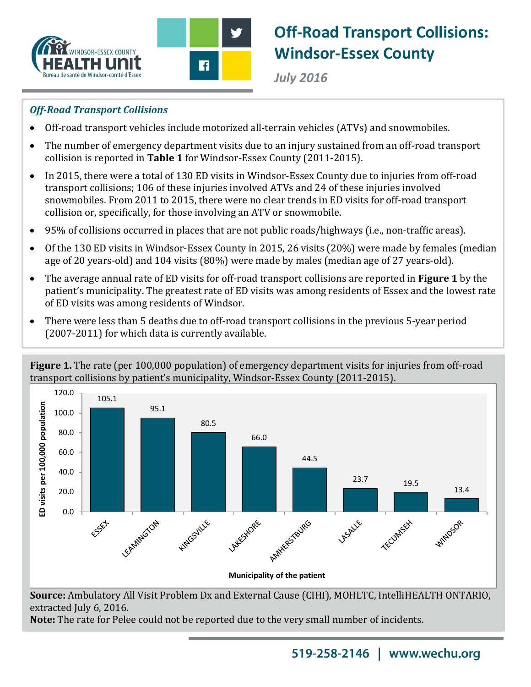



## **Off-Road Transport Collisions: Windsor-Essex County**

*July 2016*

## *Off-Road Transport Collisions*

- Off-road transport vehicles include motorized all-terrain vehicles (ATVs) and snowmobiles.
- The number of emergency department visits due to an injury sustained from an off-road transport  collision is reported in **Table 1** for Windsor-Essex County (2011-2015).
- In 2015, there were a total of 130 ED visits in Windsor-Essex County due to injuries from off-road transport collisions; 106 of these injuries involved ATVs and 24 of these injuries involved snowmobiles. From 2011 to 2015, there were no clear trends in ED visits for off-road transport collision or, specifically, for those involving an ATV or snowmobile.
- 95% of collisions occurred in places that are not public roads/highways (i.e., non-traffic areas).
- Of the 130 ED visits in Windsor-Essex County in 2015, 26 visits (20%) were made by females (median  age of 20 years-old) and 104 visits (80%) were made by males (median age of 27 years-old).
- The average annual rate of ED visits for off-road transport collisions are reported in **Figure 1** by the patient's municipality. The greatest rate of ED visits was among residents of Essex and the lowest rate of ED visits was among residents of Windsor.
- There were less than 5 deaths due to off-road transport collisions in the previous 5-year period (2007-2011) for which data is currently available.





**Source:** Ambulatory All Visit Problem Dx and External Cause (CIHI), MOHLTC, IntelliHEALTH ONTARIO, extracted July 6, 2016.

**Note:** The rate for Pelee could not be reported due to the very small number of incidents.